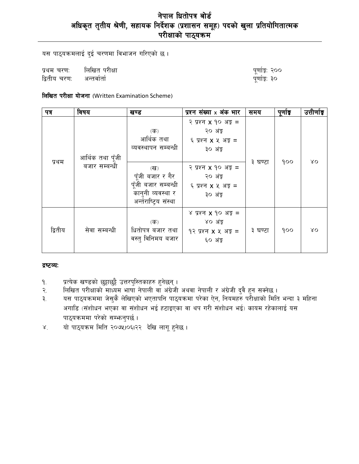# नेपाल धितोपत्र बोर्ड अधिकृत तृतीय श्रेणी, सहायक निर्देशक (प्रशासन समूह) पदको खुला प्रतियोगितात्मक<br>परीक्षाको पाठ्यक्रम

यस पाठ्यक्रमलाई दुई चरणमा विभाजन गरिएको छ।

लिखित परीक्षा प्रथम चरण: द्वितीय चरण: अन्तर्वार्ता

| पूर्णाङ्क: २०० |  |  |
|----------------|--|--|
| पूर्णाङ्क: ३०  |  |  |

## लिखित परीक्षा योजना (Written Examination Scheme)

| पत्र    | विषय                              | खण्ड                                                                                                                         | प्रश्न संख्या x अंक भार                                                                                                                                            | समय     | पूर्णाङ्क | उत्तीर्णाङ्क |
|---------|-----------------------------------|------------------------------------------------------------------------------------------------------------------------------|--------------------------------------------------------------------------------------------------------------------------------------------------------------------|---------|-----------|--------------|
| प्रथम   | आर्थिक तथा पूँजी<br>बजार सम्बन्धी | (क)<br>आर्थिक तथा<br>व्यवस्थापन सम्बन्धी<br>$(\overline{d})$<br>पूँजी बजार र गैर<br>पूँजी बजार सम्बन्धी<br>कानुनी व्यवस्था र | २ प्रश्न <b>x</b> १० अङ्ग =<br>२० अंङ्क<br>६ प्रश्न <b>x</b> ५ अङ़ =<br>३० अंङ<br>२ प्रश्न <b>x</b> १० अङ्क =<br>२० अंङ्क<br>६ प्रश्न <b>x</b> ५ अङ़ =<br>३० अंङ्क | ३ घण्टा | 900       | ΧO           |
|         |                                   | अर्न्तराष्ट्रिय संस्था                                                                                                       |                                                                                                                                                                    |         |           |              |
| द्वितीय | सेवा सम्बन्धी                     | $(\overline{\mathbf{r}})$<br>धितोपत्र बजार तथा<br>वस्तु विनिमय बजार                                                          | ४ प्रश्न $x$ १० अङ्क $=$<br>४० अंङ्क<br>$92$ प्रश्न $x$ $x$ अङ्क =<br>६० अंड्र                                                                                     | ३ घण्टा | 900       | λO           |

#### द्रष्टव्यः

- ۹.
- प्रत्येक खण्डको छुट्टाछुट्टै उत्तरपुस्तिकाहरु हुनेछन् ।<br>लिखित परीक्षाको माध्यम भाषा नेपाली वा अंग्रेजी अथवा नेपाली र अंग्रेजी दुवै हुन सक्नेछ । २.
- यस पाठ्यक्रममा जेसुकै लेखिएको भएतापनि पाठ्यक्रमा परेका ऐन, नियमहरु परीक्षाको मिति भन्दा ३ महिना ₹. अगाडि (संशोधन भएका वा संशोधन भई हटाइएका वा थप गरी संशोधन भई) कायम रहेकालाई यस पाठ्यक्रममा परेको सम्फनुपर्छ।
- यो पाठ्यक्रम मिति २०७५।०६।२२ देखि लागू हुनेछ।  $X^{\dagger}$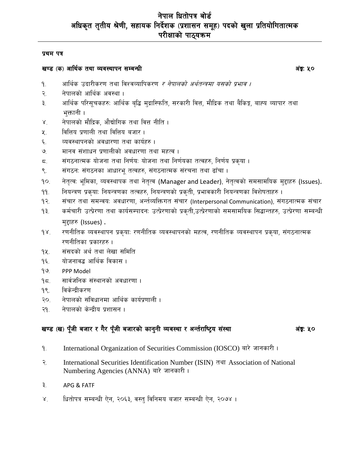#### प्रथम पत्र

## खण्ड (क) आर्थिक तथा व्यवस्थापन सम्बन्धी

अंङ्क: ५०

- आर्थिक उदारीकरण तथा विश्वव्यापिकरण *र नेपालको अर्थतन्त्रमा यसको प्रभाव ।* ۹.
- नेपालको आर्थिक अवस्था । २.
- आर्थिक परिसूचकहरुः आर्थिक बृद्धि मुद्रास्फिति, सरकारी वित्त, मौद्रिक तथा बैकिङ्ग, बाह्य व्यापार तथा ₹. भक्तानी ।
- नेपालको मौद्रिक, औद्योगिक तथा वित्त नीति ।  $X^{\dagger}$
- वित्तिय प्रणाली तथा वित्तिय बजार। ५.
- व्यवस्थापनको अवधारणा तथा कार्यहरु । ६.
- मानव संशाधन प्रणालीको अवधारणा तथा महत्व ।  $\mathcal{O}_{\mathcal{L}}$
- संगठनात्मक योजना तथा निर्णय: योजना तथा निर्णयका तत्वहरु, निर्णय प्रकृया । ζ.
- संगठन: संगठनका आधारभू तत्वहरु, संगठनात्मक संरचना तथा ढाँचा । ९.
- नेतृत्वः भूमिका, व्यवस्थापक तथा नेतृत्व (Manager and Leader), नेतृत्वको समसामयिक मुद्दाहरु (Issues).  $90.$
- नियन्त्रण प्रकुयाः नियन्त्रणका तत्वहरु, नियन्त्रणको प्रकृती, प्रभावकारी नियन्त्रणका विशेषताहरु ।  $99.$
- संचार तथा समन्वयः अवधारणा, अर्न्तव्यक्तिगत संचार (Interpersonal Communication), संगठनात्मक संचार  $92.$
- कर्मचारी उत्प्रेरणा तथा कार्यसम्पादन: उत्प्रेरणाको प्रकृती,उत्प्रेरणाको समसामयिक सिद्धान्तहरु, उत्प्रेरणा सम्बन्धी  $93.$ मुद्दाहरु (Issues).
- रणनीतिक व्यवस्थापन प्रकुया: रणनीतिक व्यवस्थापनको महत्व, रणनीतिक व्यवस्थापन प्रकुया, संगठनात्मक  $98.$ रणनीतिका प्रकारहरु ।
- संसदको अर्थ तथा लेखा समिति 94.
- योजनावद्ध आर्थिक विकास।  $9\xi$ .
- $99$ PPP Model
- सार्वजनिक संस्थानको अवधारणा ।  $95.$
- विकेन्द्रीकरण  $98.$
- नेपालको संविधानमा आर्थिक कार्यप्रणाली । २०.
- नेपालको केन्द्रीय प्रशासन । २१.

## खण्ड (ख) पुँजी बजार र गैर पुँजी बजारको कानुनी व्यवस्था र अर्न्तराष्ट्रिय संस्था

#### अंङ्क: ५०

- International Organization of Securities Commission (IOSCO) बारे जानकारी। ۹.
- २. International Securities Identification Number (ISIN) तथा Association of National Numbering Agencies (ANNA) बारे जानकारी।
- ३. APG & FATF
- धितोपत्र सम्बन्धी ऐन, २०६३, वस्तु विनिमय बजार सम्बन्धी ऐन, २०७४ ।  $X^{\dagger}$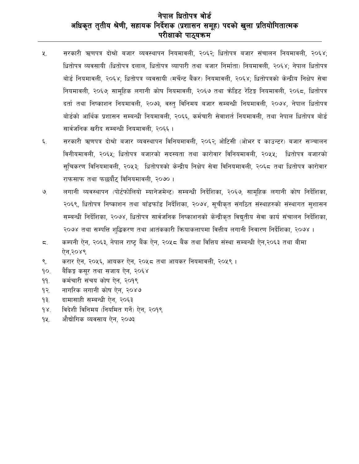# नेपाल धितोपत्र बोर्ड अधिकृत तृतीय श्रेणी, सहायक निर्देशक (प्रशासन समूह) पदको खुला प्रतियोगितात्मक परीक्षाको पाठ्यक्रम

- सरकारी ऋणपत्र दोश्रो बजार व्यवस्थापन नियमावली, २०६२; धितोपत्र बजार संचालन नियमावली, २०६४;  $x_{1}$ धितोपत्र व्यवसायी (धितोपत्र दलाल, धितोपत्र व्यापारी तथा बजार निर्माता) नियमावली, २०६४: नेपाल धितोपत्र बोर्ड नियमावली, २०६४; धितोपत्र व्यवसायी (मर्चेन्ट बैंकर) नियमावली, २०६४; धितोपत्रको केन्द्रीय निक्षेप सेवा नियमावली, २०६७; सामहिक लगानी कोष नियमावली, २०६७ तथा क्रेडिट रेटिङ्ग नियमावली, २०६८, धितोपत्र दर्ता तथा निष्काशन नियमावली, २०७३, वस्त विनिमय बजार सम्बन्धी नियमावली, २०७४, नेपाल धितोपत्र बोर्डको आर्थिक प्रशासन सम्बन्धी नियमावली, २०६६, कर्मचारी सेवाशर्त नियमावली, तथा नेपाल धितोपत्र बोर्ड सार्वजनिक खरीद सम्बन्धी नियमावली, २०६६ ।
- ६. सरकारी ऋणपत्र दोश्रो बजार व्यवस्थापन विनियमावली, २०६२, ओटिसी (ओभर द काउन्टर) बजार सञ्चालन विनीयमावली, २०६५; धितोपत्र बजारको सदस्यता तथा कारोवार विनियमावली, २०५५; धितोपत्र बजारको सुचिकरण विनियमावली, २०५३; धितोपत्रको केन्द्रीय निक्षेप सेवा विनियमावली, २०६८ तथा धितोपत्र कारोवार राफसाफ तथा फछर्यौट विनियमावली, २०७० ।
- लगानी व्यवस्थापन (पोर्टफोलियो म्यानेजमेन्ट) सम्बन्धी निर्देशिका, २०६७, सामुहिक लगानी कोष निर्देशिका, ৩ २०६९, धितोपत्र निष्काशन तथा बाँडफाँड निर्देशिका, २०७४, सुचीकृत संगठित संस्थाहरुको संस्थागत सुशासन सम्बन्धी निर्देशिका, २०७४, धितोपत्र सार्वजनिक निष्काशनको केन्द्रीकृत विद्युतीय सेवा कार्य संचालन निर्देशिका, २०७४ तथा सम्पत्ति शद्धिकरण तथा आतंककारी कियाकलापमा वित्तीय लगानी निवारण निर्देशिका, २०७४ ।
- कम्पनी ऐन. २०६३. नेपाल राष्ट्र बैंक ऐन. २०५८ बैंक तथा वित्तिय संस्था सम्बन्धी ऐन.२०६३ तथा बीमा  $\overline{a}$ . ऐन.२०४९
- करार ऐन, २०५६, आयकर ऐन, २०५८ तथा आयकर नियमावली, २०५९ । ९.
- बैकिङ्ग कसर तथा सजाय ऐन, २०६४  $90.$
- कर्मचारी संचय कोष ऐन, २०१९  $99.$
- नागरिक लगानी कोष ऐन, २०४७  $92.$
- दामासाही सम्बन्धी ऐन, २०६३  $93.$
- विदेशी विनिमय (नियमित गर्ने) ऐन, २०१९  $\gamma$
- 94. औद्योगिक व्यवसाय ऐन, २०७३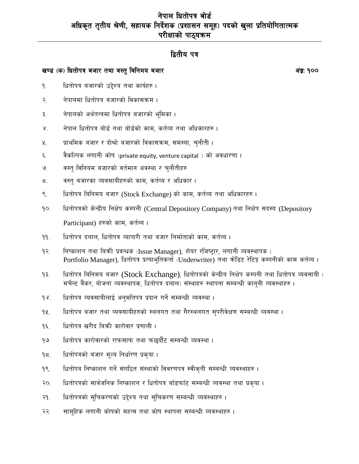# नेपाल धितोपत्र बोर्ड अधिकृत तृतीय श्रेणी, सहायक निर्देशक (प्रशासन समूह) पदको खुला प्रतियोगितात्मक परीक्षाको पाठ्यक्रम

# द्वितीय पत्र

## खण्ड (क) धितोपत्र बजार तथा वस्तु विनिमय बजार

अंङ्क: १००

- धितोपत्र बजारको उद्देश्य तथा कार्यहरु । ۹.
- नेपालमा धितोपत्र बजारको विकासक्रम । २.
- नेपालको अर्थतन्त्रमा धितोपत्र बजारको भूमिका ।  $\vec{r}$
- नेपाल धितोपत्र बोर्ड तथा बोर्डको काम, कर्तव्य तथा अधिकारहरु ।  $\lambda$
- $x_{\cdot}$ प्राथमिक बजार र दोश्रो बजारको विकासक्रम, समस्या, चुनौती ।
- वैकल्पिक लगानी कोष (private equity, venture capital) को अवधारणा । ६.
- वस्त् विनियम बजारको वर्तमान अवस्था र चुनौतीहरु  $\mathcal{O}_{\mathcal{L}}$
- वस्तु बजारका व्यवसायीहरुको काम, कर्तव्य र अधिकार । ζ.
- धितोपत्र बिनिमय बजार (Stock Exchange) को काम, कर्तव्य तथा अधिकारहरु ।  $\mathcal{S}_{\cdot}$
- धितोपत्रको केन्द्रीय निक्षेप कम्पनी (Central Depository Company) तथा निक्षेप सदस्य (Depository  $90.$ Participant) हरुको काम, कर्तव्य ।
- धितोपत्र दलाल, धितोपत्र व्यापारी तथा बजार निर्माताको काम, कर्तव्य ।  $99.$
- निष्काशन तथा बिक्री प्रवन्धक (Issue Manager), शेयर रजिष्ट्रार, लगानी व्यवस्थापक (  $92.$ Portfolio Manager), धितोपत्र प्रत्याभूतिकर्ता (Underwriter) तथा क्रेडिट रेटिङ्ग कम्पनीको काम कर्तव्य ।
- धितोपत्र बिनिमय बजार (Stock Exchange), धितोपत्रको केन्द्रीय निक्षेप कम्पनी तथा धितोपत्र व्यवसायी (  $93.$ मर्चेन्ट बैंकर, योजना व्यवस्थापक, धितोपत्र दलाल) संस्थाहरु स्थापना सम्बन्धी कान्नी व्यवस्थाहरु ।
- धितोपत्र व्यवसायीलाई अनुमतिपत्र प्रदान गर्ने सम्बन्धी व्यवस्था।  $98.$
- धितोपत्र बजार तथा व्यवसायीहरुको स्थलगत तथा गैरस्थलगत सपरीवेक्षण सम्बन्धी व्यवस्था । 92.
- धितोपत्र खरीद बिकी कारोवार प्रणाली।  $9\xi$ .
- धितोपत्र कारोवारको राफसाफ तथा फछर्यौट सम्बन्धी व्यवस्था।  $99<sub>1</sub>$
- धितोपत्रको बजार मूल्य निर्धारण प्रकृया ।  $95.$
- धितोपत्र निष्काशन गर्ने संगठित संस्थाको विवरणपत्र स्वीकृती सम्बन्धी व्यवस्थाहरु ।  $9$ .
- धितोपत्रको सार्वजनिक निष्काशन र धितोपत्र बाँडफाँट सम्बन्धी व्यवस्था तथा प्रकृया ।  $20<sub>1</sub>$
- धितोपत्रको सुचिकरणको उद्देश्य तथा सुचिकरण सम्बन्धी व्यवस्थाहरु ।  $-9.$
- सामहिक लगानी कोषको महत्व तथा कोष स्थापना सम्बन्धी व्यवस्थाहरु । २२.